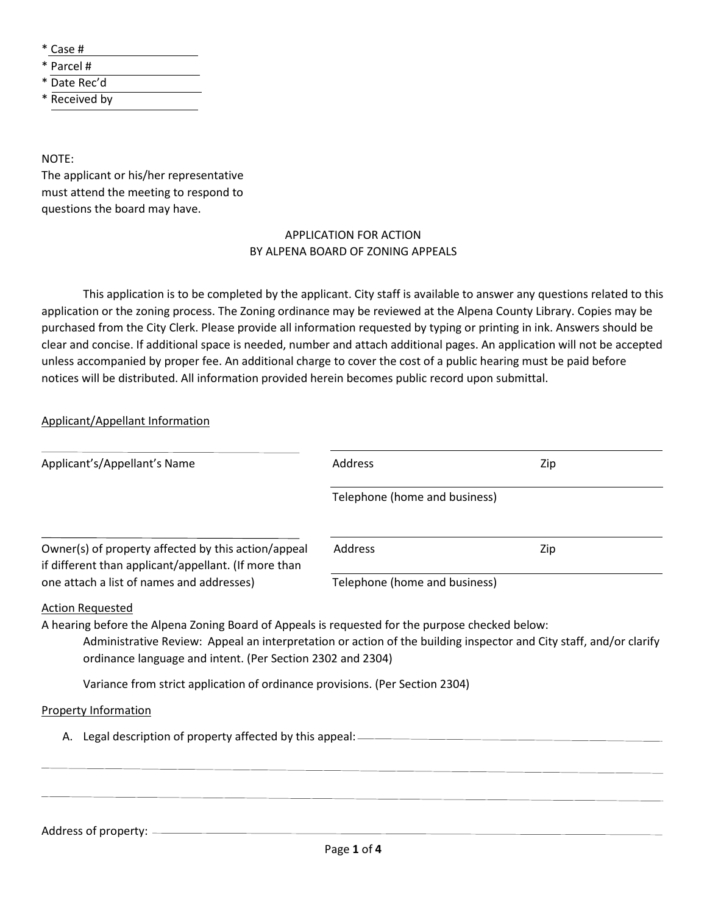\* Case #

- \* Parcel #
- \* Date Rec'd

\* Received by

NOTE:

The applicant or his/her representative must attend the meeting to respond to questions the board may have.

## APPLICATION FOR ACTION BY ALPENA BOARD OF ZONING APPEALS

This application is to be completed by the applicant. City staff is available to answer any questions related to this application or the zoning process. The Zoning ordinance may be reviewed at the Alpena County Library. Copies may be purchased from the City Clerk. Please provide all information requested by typing or printing in ink. Answers should be clear and concise. If additional space is needed, number and attach additional pages. An application will not be accepted unless accompanied by proper fee. An additional charge to cover the cost of a public hearing must be paid before notices will be distributed. All information provided herein becomes public record upon submittal.

Applicant/Appellant Information

| Applicant's/Appellant's Name                                                                                                                                                                                                                                                        | Address                       | Zip |
|-------------------------------------------------------------------------------------------------------------------------------------------------------------------------------------------------------------------------------------------------------------------------------------|-------------------------------|-----|
|                                                                                                                                                                                                                                                                                     | Telephone (home and business) |     |
| Owner(s) of property affected by this action/appeal<br>if different than applicant/appellant. (If more than                                                                                                                                                                         | Address                       | Zip |
| one attach a list of names and addresses)                                                                                                                                                                                                                                           | Telephone (home and business) |     |
| A hearing before the Alpena Zoning Board of Appeals is requested for the purpose checked below:<br>Administrative Review: Appeal an interpretation or action of the building inspector and City staff, and/or clarify<br>ordinance language and intent. (Per Section 2302 and 2304) |                               |     |
| Variance from strict application of ordinance provisions. (Per Section 2304)                                                                                                                                                                                                        |                               |     |
| <b>Property Information</b>                                                                                                                                                                                                                                                         |                               |     |
| Legal description of property affected by this appeal: -<br>А.                                                                                                                                                                                                                      |                               |     |
|                                                                                                                                                                                                                                                                                     |                               |     |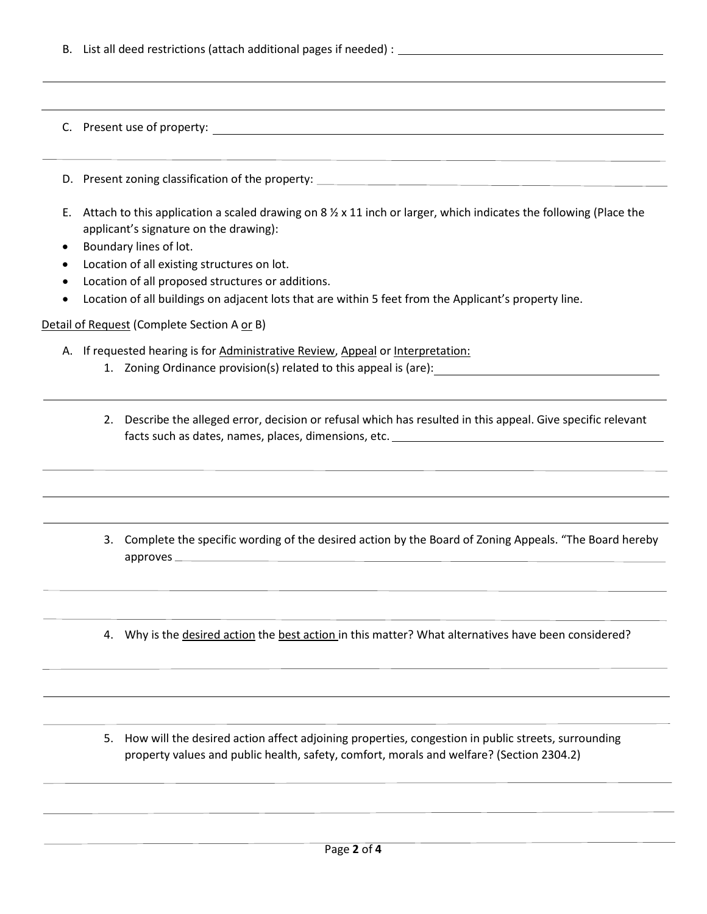|                      |    | C. Present use of property:<br><u> 1989 - Johann Stoff, deutscher Stoff, der Stoff, der Stoff, der Stoff, der Stoff, der Stoff, der Stoff, der S</u>                                                                                                                                                                                                                                                                                                         |
|----------------------|----|--------------------------------------------------------------------------------------------------------------------------------------------------------------------------------------------------------------------------------------------------------------------------------------------------------------------------------------------------------------------------------------------------------------------------------------------------------------|
|                      |    |                                                                                                                                                                                                                                                                                                                                                                                                                                                              |
| Ε.<br>$\bullet$<br>٠ |    | Attach to this application a scaled drawing on 8 $\frac{1}{2}$ x 11 inch or larger, which indicates the following (Place the<br>applicant's signature on the drawing):<br>Boundary lines of lot.<br>Location of all existing structures on lot.<br>Location of all proposed structures or additions.<br>Location of all buildings on adjacent lots that are within 5 feet from the Applicant's property line.<br>Detail of Request (Complete Section A or B) |
|                      |    | A. If requested hearing is for Administrative Review, Appeal or Interpretation:<br>1. Zoning Ordinance provision(s) related to this appeal is (are):                                                                                                                                                                                                                                                                                                         |
|                      | 2. | Describe the alleged error, decision or refusal which has resulted in this appeal. Give specific relevant<br>,我们也不会有什么。""我们的人,我们也不会有什么?""我们的人,我们也不会有什么?""我们的人,我们也不会有什么?""我们的人,我们也不会有什么?""我们的人                                                                                                                                                                                                                                                                |
|                      |    | 3. Complete the specific wording of the desired action by the Board of Zoning Appeals. "The Board hereby<br>approves                                                                                                                                                                                                                                                                                                                                         |
|                      | 4. | Why is the desired action the best action in this matter? What alternatives have been considered?                                                                                                                                                                                                                                                                                                                                                            |
|                      |    |                                                                                                                                                                                                                                                                                                                                                                                                                                                              |

5. How will the desired action affect adjoining properties, congestion in public streets, surrounding property values and public health, safety, comfort, morals and welfare? (Section 2304.2)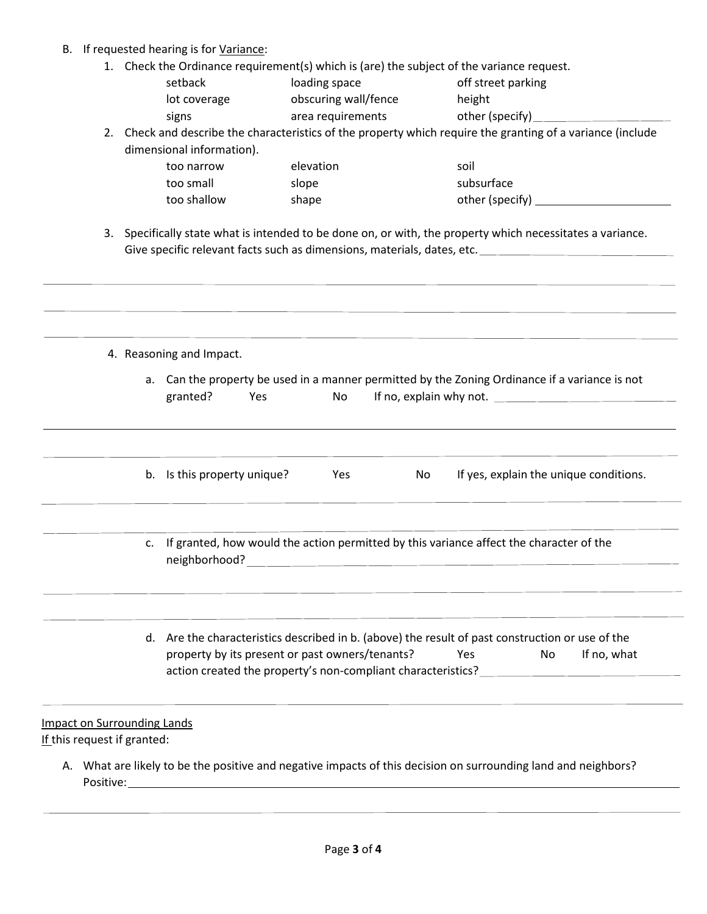## B. If requested hearing is for Variance:

1. Check the Ordinance requirement(s) which is (are) the subject of the variance request.

| setback                   | loading space        | off street parking                                                                                          |
|---------------------------|----------------------|-------------------------------------------------------------------------------------------------------------|
| lot coverage              | obscuring wall/fence | height                                                                                                      |
| signs                     | area requirements    | other (specify)                                                                                             |
|                           |                      | 2. Check and describe the characteristics of the property which require the granting of a variance (include |
| dimensional information). |                      |                                                                                                             |
| too narrow                | elevation            | soil                                                                                                        |

| LUU HAHUW   | <b>CICVALIVII</b> | 3U I I          |
|-------------|-------------------|-----------------|
| too small   | slope             | subsurface      |
| too shallow | shape             | other (specify) |

3. Specifically state what is intended to be done on, or with, the property which necessitates a variance. Give specific relevant facts such as dimensions, materials, dates, etc.

|                                                                   | 4. Reasoning and Impact.                                                                                                                                                                        |
|-------------------------------------------------------------------|-------------------------------------------------------------------------------------------------------------------------------------------------------------------------------------------------|
|                                                                   | a. Can the property be used in a manner permitted by the Zoning Ordinance if a variance is not<br>granted?<br>No<br>Yes                                                                         |
|                                                                   | b. Is this property unique? Yes<br>If yes, explain the unique conditions.<br>No.                                                                                                                |
| $\mathsf{C}$ .                                                    | If granted, how would the action permitted by this variance affect the character of the                                                                                                         |
|                                                                   | d. Are the characteristics described in b. (above) the result of past construction or use of the<br>property by its present or past owners/tenants?<br>If no, what<br><b>Solution Yes</b><br>No |
| <b>Impact on Surrounding Lands</b><br>If this request if granted: |                                                                                                                                                                                                 |